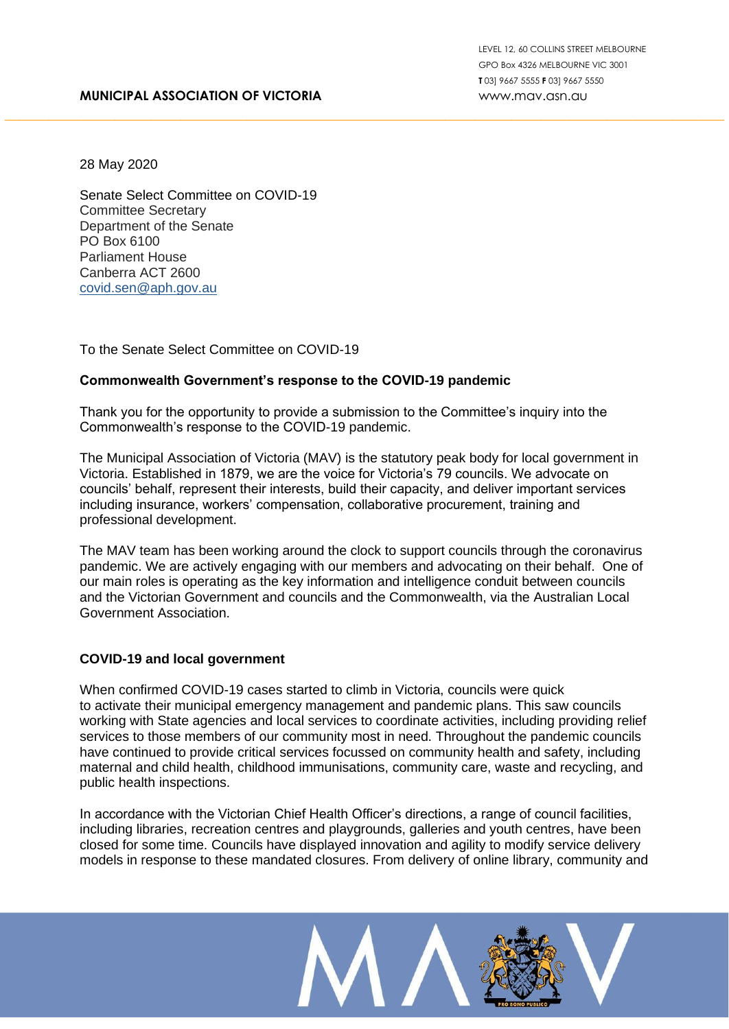### **MUNICIPAL ASSOCIATION OF VICTORIA**

28 May 2020

Senate Select Committee on COVID-19 Committee Secretary Department of the Senate PO Box 6100 Parliament House Canberra ACT 2600 [covid.sen@aph.gov.au](mailto:covid.sen@aph.gov.au)

To the Senate Select Committee on COVID-19

### **Commonwealth Government's response to the COVID-19 pandemic**

Thank you for the opportunity to provide a submission to the Committee's inquiry into the Commonwealth's response to the COVID-19 pandemic.

The Municipal Association of Victoria (MAV) is the statutory peak body for local government in Victoria. Established in 1879, we are the voice for Victoria's 79 councils. We advocate on councils' behalf, represent their interests, build their capacity, and deliver important services including insurance, workers' compensation, collaborative procurement, training and professional development.

\_\_\_\_\_\_\_\_\_\_\_\_\_\_\_\_\_\_\_\_\_\_\_\_\_\_\_\_\_\_\_\_\_\_\_\_\_\_\_\_\_\_\_\_\_\_\_\_\_\_\_\_\_\_\_\_\_\_\_\_\_\_\_\_\_\_\_\_\_\_\_\_\_\_\_\_\_\_\_\_\_\_\_\_\_\_\_\_\_\_\_\_\_\_\_\_\_\_

The MAV team has been working around the clock to support councils through the coronavirus pandemic. We are actively engaging with our members and advocating on their behalf. One of our main roles is operating as the key information and intelligence conduit between councils and the Victorian Government and councils and the Commonwealth, via the Australian Local Government Association.

### **COVID-19 and local government**

When confirmed COVID-19 cases started to climb in Victoria, councils were quick to activate their municipal emergency management and pandemic plans. This saw councils working with State agencies and local services to coordinate activities, including providing relief services to those members of our community most in need. Throughout the pandemic councils have continued to provide critical services focussed on community health and safety, including maternal and child health, childhood immunisations, community care, waste and recycling, and public health inspections.

In accordance with the Victorian Chief Health Officer's directions, a range of council facilities, including libraries, recreation centres and playgrounds, galleries and youth centres, have been closed for some time. Councils have displayed innovation and agility to modify service delivery models in response to these mandated closures. From delivery of online library, community and

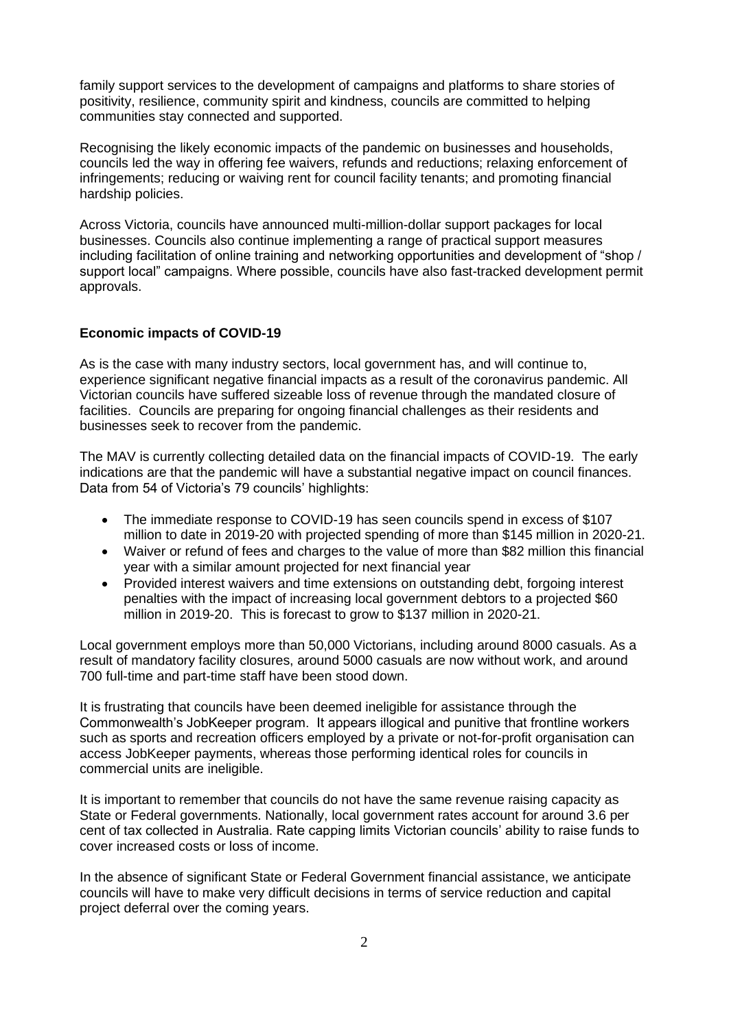family support services to the development of campaigns and platforms to share stories of positivity, resilience, community spirit and kindness, councils are committed to helping communities stay connected and supported.

Recognising the likely economic impacts of the pandemic on businesses and households, councils led the way in offering fee waivers, refunds and reductions; relaxing enforcement of infringements; reducing or waiving rent for council facility tenants; and promoting financial hardship policies.

Across Victoria, councils have announced multi-million-dollar support packages for local businesses. Councils also continue implementing a range of practical support measures including facilitation of online training and networking opportunities and development of "shop / support local" campaigns. Where possible, councils have also fast-tracked development permit approvals.

### **Economic impacts of COVID-19**

As is the case with many industry sectors, local government has, and will continue to, experience significant negative financial impacts as a result of the coronavirus pandemic. All Victorian councils have suffered sizeable loss of revenue through the mandated closure of facilities. Councils are preparing for ongoing financial challenges as their residents and businesses seek to recover from the pandemic.

The MAV is currently collecting detailed data on the financial impacts of COVID-19. The early indications are that the pandemic will have a substantial negative impact on council finances. Data from 54 of Victoria's 79 councils' highlights:

- The immediate response to COVID-19 has seen councils spend in excess of \$107 million to date in 2019-20 with projected spending of more than \$145 million in 2020-21.
- Waiver or refund of fees and charges to the value of more than \$82 million this financial year with a similar amount projected for next financial year
- Provided interest waivers and time extensions on outstanding debt, forgoing interest penalties with the impact of increasing local government debtors to a projected \$60 million in 2019-20. This is forecast to grow to \$137 million in 2020-21.

Local government employs more than 50,000 Victorians, including around 8000 casuals. As a result of mandatory facility closures, around 5000 casuals are now without work, and around 700 full-time and part-time staff have been stood down.

It is frustrating that councils have been deemed ineligible for assistance through the Commonwealth's JobKeeper program. It appears illogical and punitive that frontline workers such as sports and recreation officers employed by a private or not-for-profit organisation can access JobKeeper payments, whereas those performing identical roles for councils in commercial units are ineligible.

It is important to remember that councils do not have the same revenue raising capacity as State or Federal governments. Nationally, local government rates account for around 3.6 per cent of tax collected in Australia. Rate capping limits Victorian councils' ability to raise funds to cover increased costs or loss of income.

In the absence of significant State or Federal Government financial assistance, we anticipate councils will have to make very difficult decisions in terms of service reduction and capital project deferral over the coming years.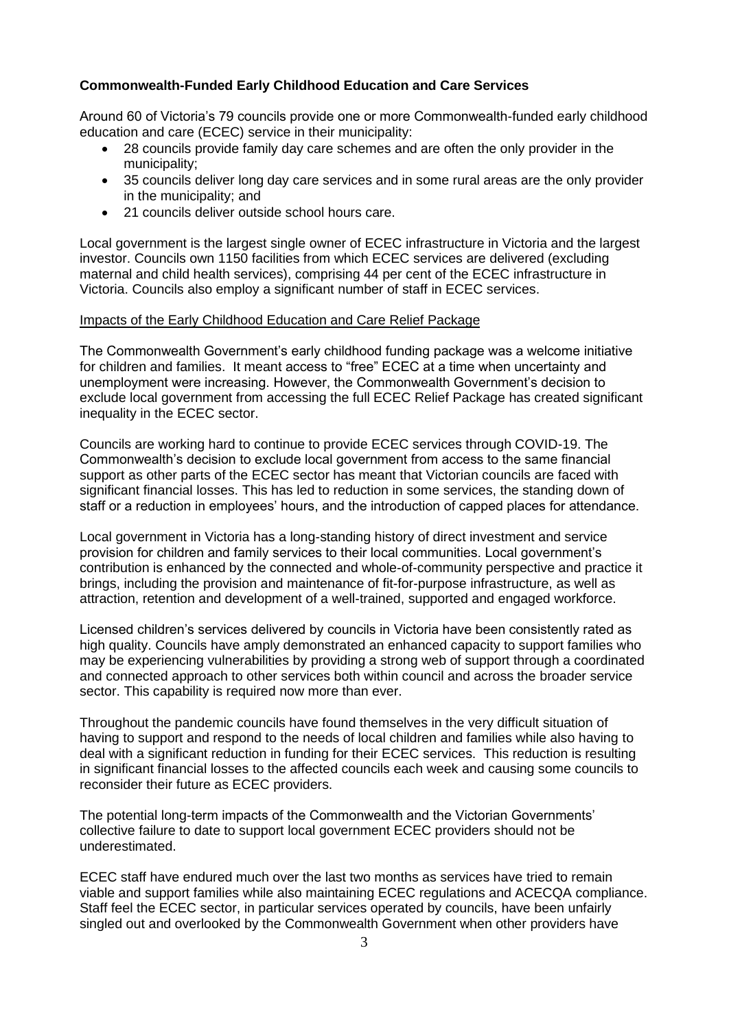# **Commonwealth-Funded Early Childhood Education and Care Services**

Around 60 of Victoria's 79 councils provide one or more Commonwealth-funded early childhood education and care (ECEC) service in their municipality:

- 28 councils provide family day care schemes and are often the only provider in the municipality;
- 35 councils deliver long day care services and in some rural areas are the only provider in the municipality; and
- 21 councils deliver outside school hours care.

Local government is the largest single owner of ECEC infrastructure in Victoria and the largest investor. Councils own 1150 facilities from which ECEC services are delivered (excluding maternal and child health services), comprising 44 per cent of the ECEC infrastructure in Victoria. Councils also employ a significant number of staff in ECEC services.

### Impacts of the Early Childhood Education and Care Relief Package

The Commonwealth Government's early childhood funding package was a welcome initiative for children and families. It meant access to "free" ECEC at a time when uncertainty and unemployment were increasing. However, the Commonwealth Government's decision to exclude local government from accessing the full ECEC Relief Package has created significant inequality in the ECEC sector.

Councils are working hard to continue to provide ECEC services through COVID-19. The Commonwealth's decision to exclude local government from access to the same financial support as other parts of the ECEC sector has meant that Victorian councils are faced with significant financial losses. This has led to reduction in some services, the standing down of staff or a reduction in employees' hours, and the introduction of capped places for attendance.

Local government in Victoria has a long-standing history of direct investment and service provision for children and family services to their local communities. Local government's contribution is enhanced by the connected and whole-of-community perspective and practice it brings, including the provision and maintenance of fit-for-purpose infrastructure, as well as attraction, retention and development of a well-trained, supported and engaged workforce.

Licensed children's services delivered by councils in Victoria have been consistently rated as high quality. Councils have amply demonstrated an enhanced capacity to support families who may be experiencing vulnerabilities by providing a strong web of support through a coordinated and connected approach to other services both within council and across the broader service sector. This capability is required now more than ever.

Throughout the pandemic councils have found themselves in the very difficult situation of having to support and respond to the needs of local children and families while also having to deal with a significant reduction in funding for their ECEC services. This reduction is resulting in significant financial losses to the affected councils each week and causing some councils to reconsider their future as ECEC providers.

The potential long-term impacts of the Commonwealth and the Victorian Governments' collective failure to date to support local government ECEC providers should not be underestimated.

ECEC staff have endured much over the last two months as services have tried to remain viable and support families while also maintaining ECEC regulations and ACECQA compliance. Staff feel the ECEC sector, in particular services operated by councils, have been unfairly singled out and overlooked by the Commonwealth Government when other providers have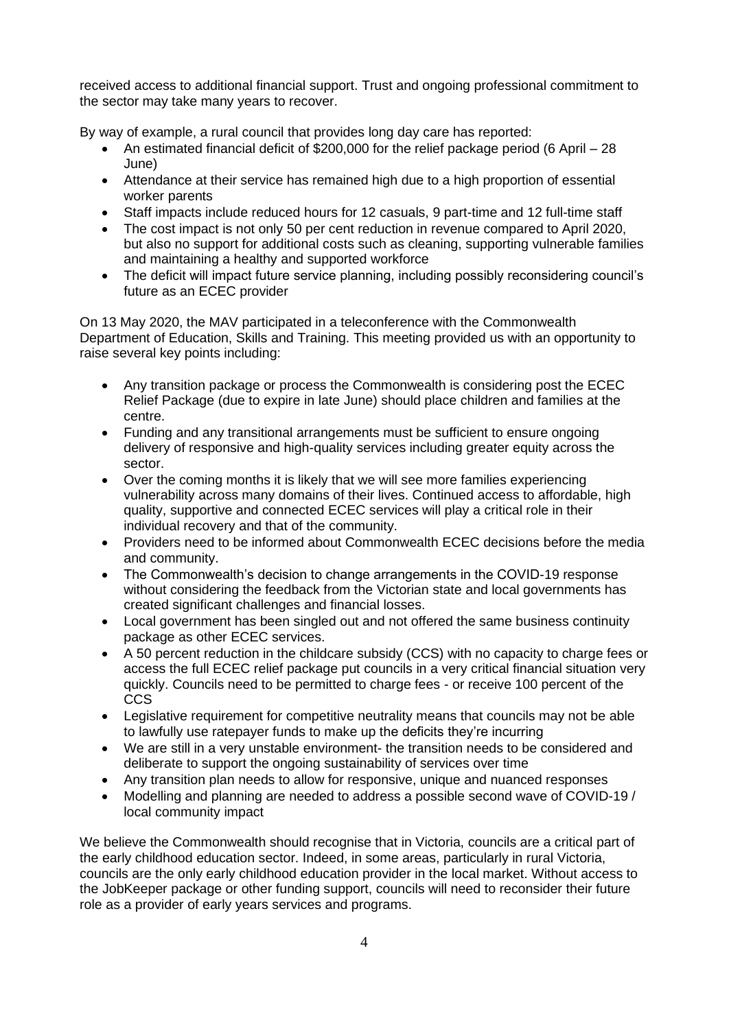received access to additional financial support. Trust and ongoing professional commitment to the sector may take many years to recover.

By way of example, a rural council that provides long day care has reported:

- An estimated financial deficit of \$200,000 for the relief package period (6 April 28 June)
- Attendance at their service has remained high due to a high proportion of essential worker parents
- Staff impacts include reduced hours for 12 casuals, 9 part-time and 12 full-time staff
- The cost impact is not only 50 per cent reduction in revenue compared to April 2020, but also no support for additional costs such as cleaning, supporting vulnerable families and maintaining a healthy and supported workforce
- The deficit will impact future service planning, including possibly reconsidering council's future as an ECEC provider

On 13 May 2020, the MAV participated in a teleconference with the Commonwealth Department of Education, Skills and Training. This meeting provided us with an opportunity to raise several key points including:

- Any transition package or process the Commonwealth is considering post the ECEC Relief Package (due to expire in late June) should place children and families at the centre.
- Funding and any transitional arrangements must be sufficient to ensure ongoing delivery of responsive and high-quality services including greater equity across the sector.
- Over the coming months it is likely that we will see more families experiencing vulnerability across many domains of their lives. Continued access to affordable, high quality, supportive and connected ECEC services will play a critical role in their individual recovery and that of the community.
- Providers need to be informed about Commonwealth ECEC decisions before the media and community.
- The Commonwealth's decision to change arrangements in the COVID-19 response without considering the feedback from the Victorian state and local governments has created significant challenges and financial losses.
- Local government has been singled out and not offered the same business continuity package as other ECEC services.
- A 50 percent reduction in the childcare subsidy (CCS) with no capacity to charge fees or access the full ECEC relief package put councils in a very critical financial situation very quickly. Councils need to be permitted to charge fees - or receive 100 percent of the CCS
- Legislative requirement for competitive neutrality means that councils may not be able to lawfully use ratepayer funds to make up the deficits they're incurring
- We are still in a very unstable environment- the transition needs to be considered and deliberate to support the ongoing sustainability of services over time
- Any transition plan needs to allow for responsive, unique and nuanced responses
- Modelling and planning are needed to address a possible second wave of COVID-19 / local community impact

We believe the Commonwealth should recognise that in Victoria, councils are a critical part of the early childhood education sector. Indeed, in some areas, particularly in rural Victoria, councils are the only early childhood education provider in the local market. Without access to the JobKeeper package or other funding support, councils will need to reconsider their future role as a provider of early years services and programs.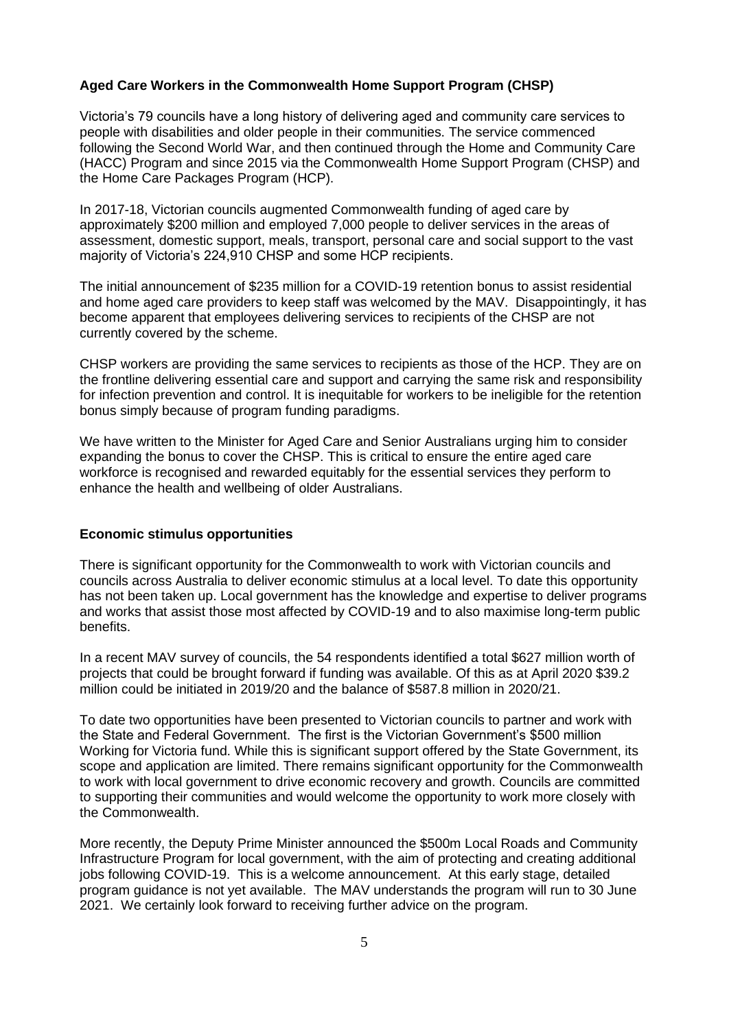# **Aged Care Workers in the Commonwealth Home Support Program (CHSP)**

Victoria's 79 councils have a long history of delivering aged and community care services to people with disabilities and older people in their communities. The service commenced following the Second World War, and then continued through the Home and Community Care (HACC) Program and since 2015 via the Commonwealth Home Support Program (CHSP) and the Home Care Packages Program (HCP).

In 2017-18, Victorian councils augmented Commonwealth funding of aged care by approximately \$200 million and employed 7,000 people to deliver services in the areas of assessment, domestic support, meals, transport, personal care and social support to the vast majority of Victoria's 224,910 CHSP and some HCP recipients.

The initial announcement of \$235 million for a COVID-19 retention bonus to assist residential and home aged care providers to keep staff was welcomed by the MAV. Disappointingly, it has become apparent that employees delivering services to recipients of the CHSP are not currently covered by the scheme.

CHSP workers are providing the same services to recipients as those of the HCP. They are on the frontline delivering essential care and support and carrying the same risk and responsibility for infection prevention and control. It is inequitable for workers to be ineligible for the retention bonus simply because of program funding paradigms.

We have written to the Minister for Aged Care and Senior Australians urging him to consider expanding the bonus to cover the CHSP. This is critical to ensure the entire aged care workforce is recognised and rewarded equitably for the essential services they perform to enhance the health and wellbeing of older Australians.

### **Economic stimulus opportunities**

There is significant opportunity for the Commonwealth to work with Victorian councils and councils across Australia to deliver economic stimulus at a local level. To date this opportunity has not been taken up. Local government has the knowledge and expertise to deliver programs and works that assist those most affected by COVID-19 and to also maximise long-term public benefits.

In a recent MAV survey of councils, the 54 respondents identified a total \$627 million worth of projects that could be brought forward if funding was available. Of this as at April 2020 \$39.2 million could be initiated in 2019/20 and the balance of \$587.8 million in 2020/21.

To date two opportunities have been presented to Victorian councils to partner and work with the State and Federal Government. The first is the Victorian Government's \$500 million Working for Victoria fund. While this is significant support offered by the State Government, its scope and application are limited. There remains significant opportunity for the Commonwealth to work with local government to drive economic recovery and growth. Councils are committed to supporting their communities and would welcome the opportunity to work more closely with the Commonwealth.

More recently, the Deputy Prime Minister announced the \$500m Local Roads and Community Infrastructure Program for local government, with the aim of protecting and creating additional jobs following COVID-19. This is a welcome announcement. At this early stage, detailed program guidance is not yet available. The MAV understands the program will run to 30 June 2021. We certainly look forward to receiving further advice on the program.